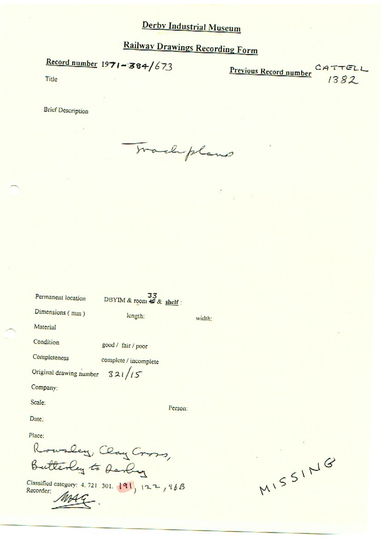**Railway Drawings Recording Form** 

Record number  $1971 - 384/673$ 

Previous Record number CATTELL

Title

**Brief Description** 

Trachpland

| Permanent location             | - 3<br>DBYIM & room & & shelf: |        |
|--------------------------------|--------------------------------|--------|
| Dimensions (mm)                | length:                        | width: |
| Material                       |                                |        |
| Condition                      | good / fair / poor             |        |
| Completeness                   | complete / incomplete          |        |
| Original drawing number 321/15 |                                |        |
| Company:                       |                                |        |
| Scale:                         | Person:                        |        |
| Date:                          |                                |        |
| Place:                         |                                |        |
|                                |                                |        |
|                                | Rowsley, Clay Cross,           |        |

Classified category: 4.721.301. 191, 122, 96B

MISSING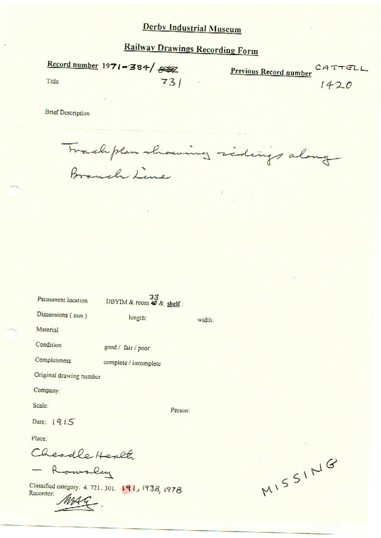**Railway Drawings Recording Form** 

Record number  $1971 - 384$   $\frac{600}{1000}$ Previous Record number CATTELL  $731$ Title  $1420$ 

**Brief Description** 

Wachplan showing sidings along

width:

| Permanent location | 33<br>DBYIM & room & & shelf: |
|--------------------|-------------------------------|
|--------------------|-------------------------------|

length:

complete / incomplete

Dimensions (mm)

Material

Condition good / fair / poor

Completeness

Original drawing number

Company:

Scale:

Person:

Date:  $1915$ 

Place:

Cheadle Health

- Rowsley

Classified category: 4, 721, 301. 191, 1938, 1978 Recorder:

MISSING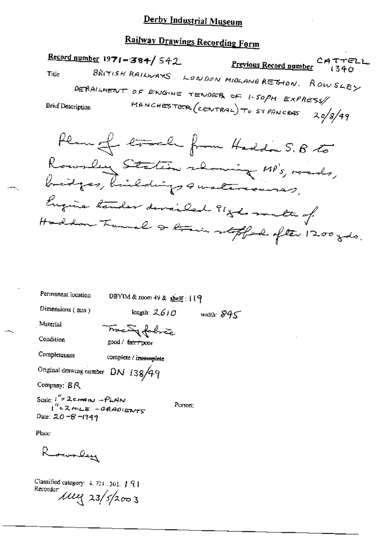# Railway Drawings Recording Form

Record number  $1971 - 384 / 542$ <u>Previous Record number</u> CATTELI BRITISH RAILWAYS LONDON MIDLAND REGION. ROWSLEY Title DERAILMENT OF ENGINE TENDER OF 1.50PM EXPRESS MANCHESTER (CENTRAL) TO STPANCRAS **Brief Description**  $20/8/49$ Plan of track from Haddon S. B to Rowsley Station showing MP's, roads, bridges, bildings smalereness, Engine tender developed ? 1 gods matte of Haddon Tunnel & train stoffed ofter 1200 gds.

| Fermanent location                                           | DBYIM & room 49 & shelf: $119$  |              |
|--------------------------------------------------------------|---------------------------------|--------------|
| Dimensions $(mn)$                                            | length: $2610$                  | width: $845$ |
| Material                                                     | Tracing folice                  |              |
| Condition                                                    | good / fa <del>ir / poo</del> r |              |
| Completeness                                                 | complete / incomplete           |              |
| Original drawing number DN 138/49                            |                                 |              |
| Company: BR                                                  |                                 |              |
| Scale: $I'' = 2c$ man - PLAN<br>$I'' = 2m \angle E = -GRADE$ | Person;                         |              |
| Date: 20-8-1949                                              |                                 |              |
| Place:                                                       |                                 |              |

monley

Classified category:  $4.721.301.79$ Recorder  $\mu$ ,  $\mu$   $\frac{23}{52003}$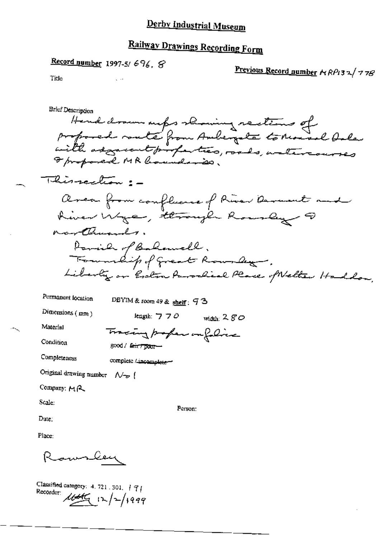# Railway Drawings Recording Form

Record number 1997-5/696, 8

 $\zeta \rightarrow 0$ 

Previous Record number NRP132/778

Title

| Brief Description<br>Hend drawn outes showing sections of<br>with adjacent profection, roads, watercourses<br>I proposed MR hounds is. |
|----------------------------------------------------------------------------------------------------------------------------------------|
| Thissection : -                                                                                                                        |
| Area from confluence of River Arment and<br>River Wye, through Rously ?<br>northusuals.                                                |
| Parie of Balanell.<br>Township of Great Rounday.<br>Liberty or Eston Parochial Place of Netter Hadlow,                                 |
| Permanent location<br>DBYIM & room 49 & shelf: $9.3$                                                                                   |
| Dimensions $(mn)$<br>length: $770$<br>width: $280$                                                                                     |
| Material<br>Tracing profession folias                                                                                                  |
| Condition<br>good / fair / poor-                                                                                                       |
| Completeness<br>complete / incomplete-                                                                                                 |
| Original drawing number $\mathcal{N}_{\mathcal{D}}$ (                                                                                  |
| Company: MR                                                                                                                            |
| Scale:<br>Person:<br>Date:                                                                                                             |
| Place:                                                                                                                                 |
| R <sub>act</sub> o Ceu                                                                                                                 |

Classified category:  $4.721.301$ ,  $191$ Recorder  $\mu$ the  $\mu$  /2/1999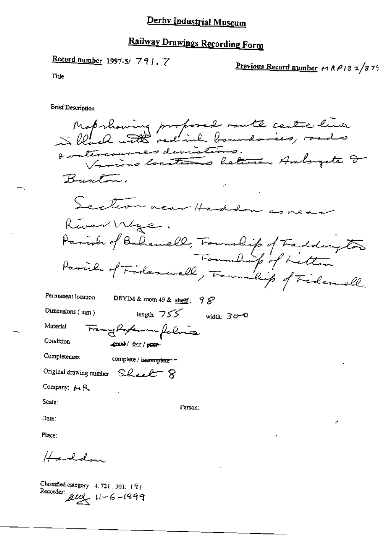Record number 1997-5/7917

Previous Record number  $\sim$  RP13 2/879

Tiue

**Brief Description** 

Mapshowing proposed route centre line suntercourses deviations.<br>Duntercourses deviations. Buscler. Section near Haddon as rear River Wye. Ruer Wye.<br>Parish of Bohawell, Township of Faddington Permanent location DBYIM & room 49 & shelf:  $98$ length:  $755$  width:  $30-0$ Dimensions (mm) Material Tranghoferom falina Condition good/fair/puse Completeness complete / incomplete \*\*\* Original drawing number Sheet 8 Company: A<sub>1</sub> R Scale: Person: Date: Place: Haddon.

Classified category:  $4.721.301.19$ Recorder:  $\mu u_1 + 6 - 1999$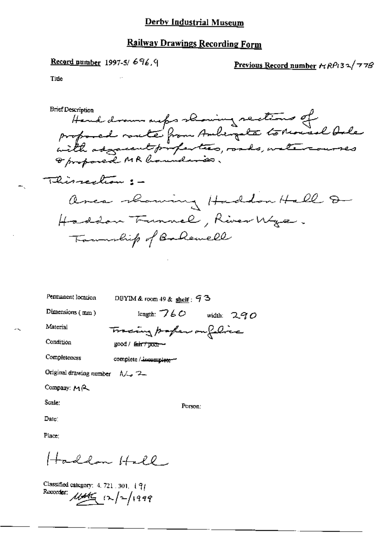## **Railway Drawings Recording Form**

Record number 1997-5/696,9

Previous Record number  $r_1RP_132/778$ 

Title

**Brief Description** Hand drawn outer showing sections of<br>profocal route from Ambergate to Mousel Onle<br>with adjacent profection, roads, watercourses I proposed MR boundaries. Thissection :area showing Haddon Hall D Haddon Tunnel, River Wye. Township of Balenell

Permanent location

DBYIM & room  $49$  & shelf;  $93$ 

Tracing paper on felice

Dimensions (mm)

length:  $760$  width:  $290$ 

Material Condition

Completeness

 $good /$  fair  $\tau$  poor-

complete / incomplete-

Original drawing number  $\Lambda/\mathbb{Z}_2$  2.

Company: MR

Scale:

Person:

Date:

Place:

Haddon Hall

Classified category:  $4.721.301.$   $\{9\}$ Recorder: 1146 12/2/1999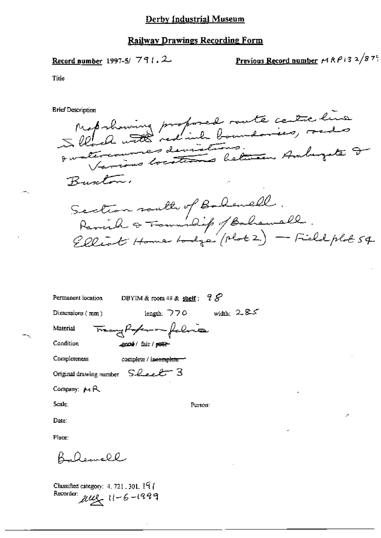#### Railway Drawings Recording Form

Record number 1997-5/791.2

<u>Previous Record number</u>  $MRP$ 13 2/87°

Title

**Brief Description** 

Map showing proposed rate centre line en nous assistants.<br>Durécions locations between Ambuzate D Burton. Section routh of Bolenell.<br>Parish & Township / Bohenell.<br>Elliot Home bodge (Mot 2) — Field plot 54.

| Permanent location | DBYIM & room 49 & shelf: $78$ |              |
|--------------------|-------------------------------|--------------|
| Dimensions $(mm)$  | length: $770$                 | width: $285$ |

Material

Condition

Tracy Poper on falme ஆഷ©el/fair/<del>poor</del>

Completeness

complete / incomplete-

Original drawing number Sheet 3

Company: MR

Scale:

Person:

Date:

Place:

Deavell

Classified category:  $4.721.301.197$ Recorder:  $\mu u$ ,  $11 - 6 - 1999$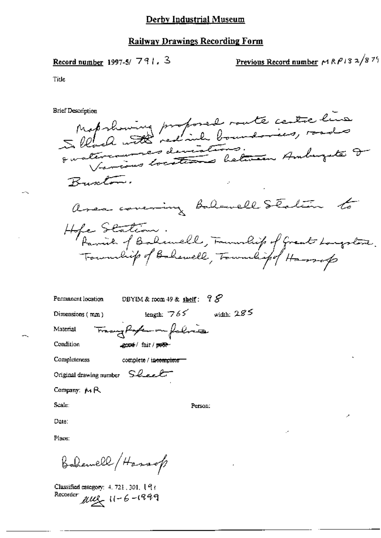#### **Railway Drawings Recording Form**

Record number 1997-5/ $791.3$ 

Previous Record number  $\sim$  RP13 2/875

Title

**Brief Description** 

Mapshowing proposed route centre line en crois avec deviations.<br>European locations believen Ambuzate D Buston. area covering balancell Station to Hope Station.<br>Parish of Bolemell, Foundish of Great Longstone.<br>Foundish of Bolemell, Foundish of Hassep

| Permanent location      | DBYIM & room 49 & shelf: $98$       |              |
|-------------------------|-------------------------------------|--------------|
| Dimensions (mm)         | length: $765$                       | width: $285$ |
| Material                | Trany Paten on folice               |              |
| Condition               | 2004 / fair / 1968-                 |              |
| Completeness            | complete / in <del>complete =</del> |              |
| Original drawing number | Sheet                               |              |
|                         |                                     |              |

Company: MR

Scale:

Person:

Date:

Place:

Bahemell (Hassop

Classified category: 4, 721, 301, 193 Recorder  $\mu u$ ,  $11 - 6 - 1999$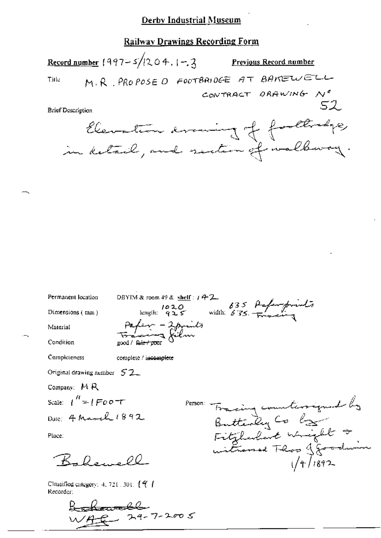# **Railway Drawings Recording Form**

|                   | <u>Record number</u> 1997–5/1204, 1–2,                                 | <u>Previous Record number</u> |
|-------------------|------------------------------------------------------------------------|-------------------------------|
| Title             | M.R. PROPOSE O FOOTBRIDGE AT BAKEWELL                                  |                               |
|                   |                                                                        | CONTRACT DRAWING NO           |
| Brief Description |                                                                        | - 52                          |
|                   | Elevation avaining of footbadge,<br>in detail, and section of walkway. |                               |

Permanent location

Dimensions (mm)

DBYIM & room 49 & shelf:  $142$ <br>length:  $1020$ <br>length:  $925$  width:  $635$   $\frac{\beta25}{\beta}$ Pafer - 2 prints<br>Faccing film good / fair / poor

Material

Condition

Completeness

complete / incomplete

Original drawing number  $52$ 

Company: MR

Scale:  $\int^{\prime\prime} = \int F \rho \rho \tau T$ Date: 4 March 1892

Place:

 $R, Q_2, \ldots Q$ 

Classified category:  $4, 721, 301, 44$ Recorder:

 $24 - 7 - 2005$ 

Tracing counterrigued by<br>Butterly Co by<br>Fitzburkert Wright &<br>witnessed Thos goodwing Person: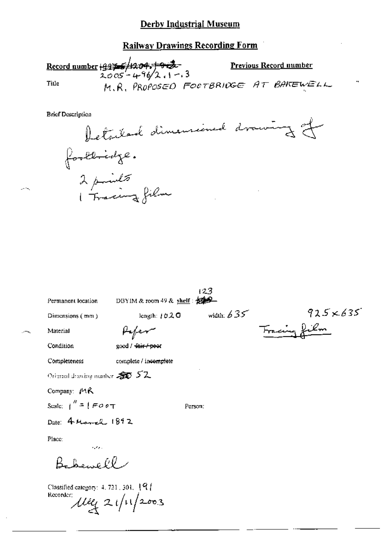**Railway Drawings Recording Form** 

Record number  $\frac{19976}{2005}$  + 96/2.1-3 **Previous Record number** M.R. PROPOSED FOOTBRIDGE AT BAKEWELL Title

**Brief Description** 



|                                                             |                                         | 123          |                 |
|-------------------------------------------------------------|-----------------------------------------|--------------|-----------------|
| Permanent location                                          | DBYIM & room 49 & shelf : $\frac{1}{2}$ |              |                 |
| Dimensions (mm)                                             | length: $1020$                          | width: $635$ | $925\times 635$ |
| Material                                                    |                                         |              | racing fu       |
| Condition                                                   | good / <del>fair / peo</del> r          |              |                 |
| Completeness                                                | complete / incomplete                   |              |                 |
| Original drawing number $\mathcal{F}$ 52                    |                                         |              |                 |
| Company: MR                                                 |                                         |              |                 |
| Scale: $\int_{0}^{\pi}$ = $\int$ FO e T                     | Person:                                 |              |                 |
| Date: 4 March 1892                                          |                                         |              |                 |
| Place:                                                      |                                         |              |                 |
| والاحتمال                                                   |                                         |              |                 |
|                                                             |                                         |              |                 |
| Classified category: $4.721$ , $301$ , $\{9\}$<br>Recorder: | $\mu_{4}$ 21/11/2003                    |              |                 |

tana.<br>Panananana araka araka araka araka araka araka araka araka araka araka araka araka araka araka araka araka ara<br>Araka araka araka araka araka araka araka araka araka araka araka araka araka araka araka araka araka ara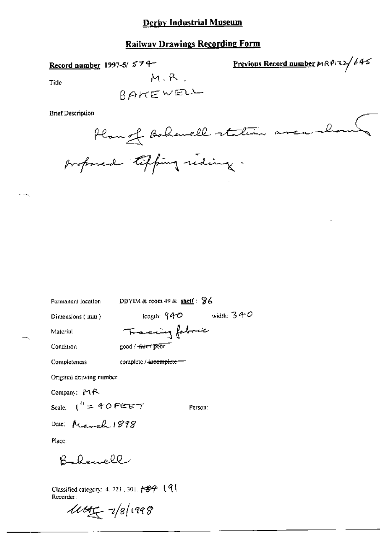# **Railway Drawings Recording Form**

Record number 1997-5/574

Previous Record number  $MRP$ 32/645

Title

 $M, R$ .

**Brief Description** 

Permanent location

DBYIM & room 49 & shelf: 96

Tracing fabric

Dimensions (mm)

length:  $940$  width:  $340$ 

Material

Condition

۰.

good / fair / poor

Completeness

complete /-incomplete --

Original drawing number

Company: MR

Scale:  $1'' = 40$  FEET

Person:

Date: March 1898

Place:

Bakewell

Classified category: 4, 721, 301,  $\leftarrow$   $\mathcal{B}$  (9) Recorder:

 $444 - 78/1998$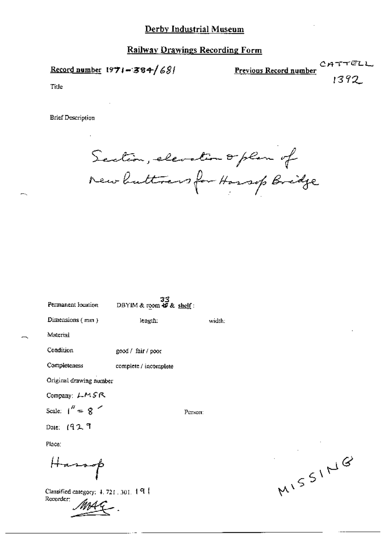Record number  $1971 - 384/681$ 

CATTELL Previous Record number 1392

Title

**Brief Description** 

Section, elevation or plan of<br>New huttress for Hossep Bridge

width:

Person:

DBYIM & room  $\frac{33}{49}$ & shelf:

Dimensions (mm)

length:

Material

Condition good / fair / poor

Completeness complete / incomplete

Original drawing number

Company: LMSR

Scale:  $1'' = 8$ 

Date: 1929

Place:

Hassap $\beta$ 

Classified category: 4, 721, 301, 191 Recorder:

MISSING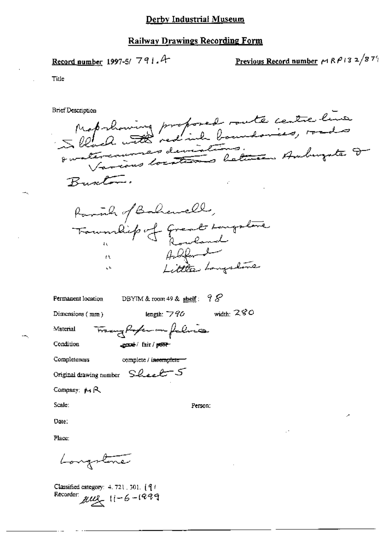#### **Railway Drawings Recording Form**

Record number 1997-5/791.4

<u>Previous Record number</u>  $\sim$  RP i 3 2/87<sup>9</sup>

Title

**Brief Description** 





| Permanent location |
|--------------------|
|--------------------|

DBYIM & room 49 & shelf:  $98$ 

length:  $790$  width:  $280$ 

Dimensions (mm)

Material

Condition

Tranghfer in falsia expect fair / post-

Completeness

complete / incomplete

Original drawing number Sheet 5

Company: MR

Scale:

Person:

Date:

Place:

Longstone

Classified category: 4.721, 301. [9] Recorder:  $\mu u = 11 - 6 - 1999$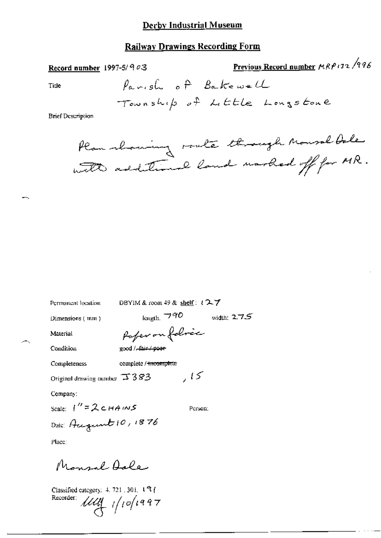## **Railway Drawings Recording Form**

Previous Record number MRP132/996 Record number 1997-5/ $903$ Parish of Bakewell Tide Township of Little Longstone **Brief Description** 

Plan moming route through Monsal bale with additional land worked off for MR.

Permanent location

DBYIM & room 49 & shelf:  $127$ 

Dimensions (mm)

length,  $\neg$ 90 width:  $275$ 

Material

Condition

Poper on folores good / fair / poor

complete / incomplete Completeness

 $,15$ Original drawing number  $\overline{\rightarrow}$  3  $83$ 

Company:

Scale:  $1'' = 2cHAMS$ Person: Date: August 10, 1876

Place:

Monsal Aole

Classified category:  $4, 721, 301, 1$   $9$  ( Recorder:  $\hat{U}\hat{U}\hat{U}$  1/10/1997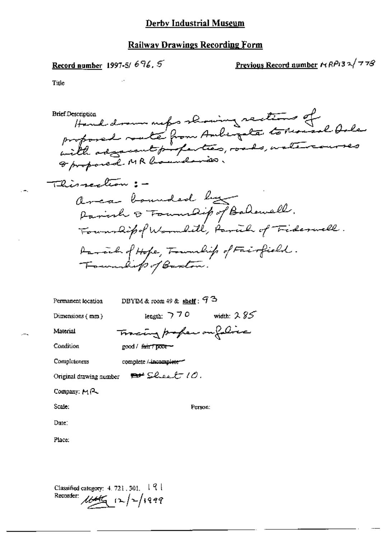Record number 1997-5/696,5

Previous Record number  $\kappa$  RP13 2/778

Title

Hand drawn met s showing sactions of<br>proposed route from Auligate to Monsol Oslan<br>with adjacent profecties, roads, watercourses **Brief Description** This rection : area bounded by Balawell.<br>Parish & Foundip of Balawell.<br>Foundipof Wormlill, Parcil of Fiderwell. Daraich of Hope, Township of Fairfield.<br>Township of Baston.

| Permanent location      | DBYIM & room 49 & shelf: $93$ |
|-------------------------|-------------------------------|
| Dimensions $(mn)$       | length: $770$<br>width: $285$ |
| Material                | Tracing proper on folice      |
| Condition               | good / fair / poor-           |
| Completeness            | complete /-incomplete-        |
| Original drawing number | $\mathbf{P}^{\mu}$ Sheet 10.  |
| Company: MR             |                               |
| Scale:                  | Person:                       |
| Date :                  |                               |
|                         |                               |

Place:

Classified category:  $4.721, 301, -19$ Recorder:  $\frac{1}{4\pi\sqrt{2}}$   $\frac{1}{2}\sqrt{2999}$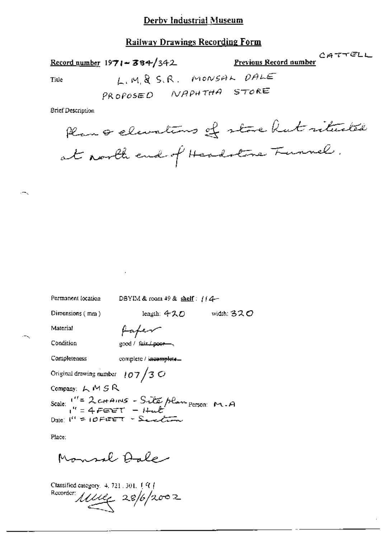## **Railway Drawings Recording Form**

 $CATTELL$ Previous Record number Record number  $1971 - 384/342$ L.M.& S.R. MONSAL DALE Title PROPOSED NAPHTHA STORE

**Brief Description** 

Plan & elevations of store hat rituated at north end of Headstone Funnel.

| Permanent focation                                               | DBYIM & room $49$ & shelf: $114-$  |                     |  |  |
|------------------------------------------------------------------|------------------------------------|---------------------|--|--|
| Dimensions (mm)                                                  | length: 4スロー                       | width: 32 $\cal{O}$ |  |  |
| Material                                                         | fafer                              |                     |  |  |
| Condition                                                        | good / fair / poor                 |                     |  |  |
| Completeness                                                     | complete / incomplete              |                     |  |  |
| Original drawing number $\left  07 \right/$ 3 $\circ$            |                                    |                     |  |  |
| Company: ムMSR                                                    |                                    |                     |  |  |
| Scale: "= 2 c++ AINS - Site plan person: M.A<br>" = 4 FEET - Hut |                                    |                     |  |  |
|                                                                  | Date: $f'' = 10$ FIRET - Send time |                     |  |  |
|                                                                  |                                    |                     |  |  |

Place:

 $\sim$ 

Monsal Aale

Classified category.  $4.721.301.197$ Recorder  $11/26$  28/6/2002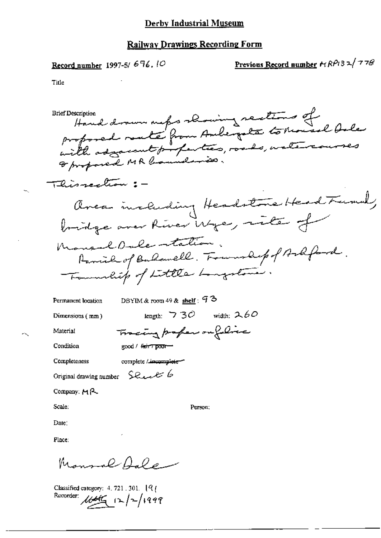Record number 1997-5/676.10

÷.

Previous Record number  $trRPI32/778$ 

Title

 $\sim$ 

 $\sim$ 

| <b>Brief Description</b>                                           |  |
|--------------------------------------------------------------------|--|
| Hand drawn meps showing scations of                                |  |
| profored mate from Andergate to Maisel Ale                         |  |
| with adjacent profection, roads, watercourses                      |  |
| I proposed MR locales is.                                          |  |
|                                                                    |  |
| Thissection : -                                                    |  |
|                                                                    |  |
| Uncan including Headstone Head Funnel,                             |  |
| bridge aver River Wye, rite of                                     |  |
|                                                                    |  |
| Monsel Oule station.<br>Parried of Bulawell. Fournalip of Ashford. |  |
| Tommlif of Little Longstone.                                       |  |
| DBYIM & room 49 & shelf : $93$<br>Permanent location               |  |
| width: $260$<br>length: $\overline{7}$ 30<br>Dimensions (mm)       |  |
| Tracing profess on filme<br>Material                               |  |
| good / fair7 poor-<br>Condition                                    |  |
| Completeness<br>complete / incomplete-                             |  |
| Original drawing number Should b                                   |  |
| Company: $M$ $\sim$                                                |  |
| Scale:<br>Person:                                                  |  |
| Date:                                                              |  |
| Place:                                                             |  |
| Mimmal Alex                                                        |  |

Classified category: 4.721.301. [9]<br>Recorder:  $\sqrt{100}$  [2]  $\sqrt{2}/1999$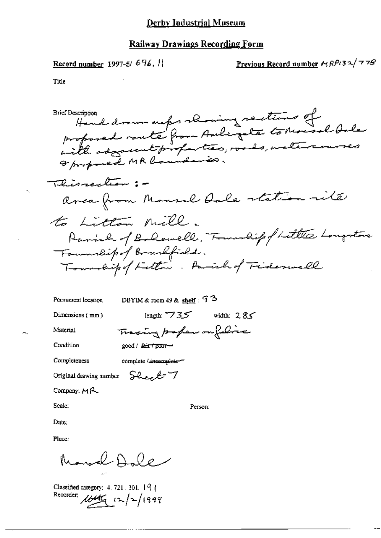#### Railway Drawings Recording Form

Record number 1997-5/696.

Previous Record number  $\kappa RPI32^{778}$ 

Title

response drawn maps showing rections of<br>proposed route from Ambergate to Monsel Orler<br>with adgreent properties, roads, watercourses **Brief Description** I proposed MR locanderson. Thissection : area from Mansuel Dale station site to Litton mill. Parish of Bolewell, Township of Little Longstone Formulipof Brushfield. Township of Fettown. Parally Fiderwell

Permanent location

DBYIM & room  $49$  & shelf:  $93$ 

Dimensions  $(mn)$ 

Material

Condition

Tracing profess on foliac good / fair poor-

Completeness

complete / incomplete --

Original drawing number Sheel 7

Company:  $M$  $A$ 

Scale:

Person:

length:  $735$  width:  $285$ 

Date:

Place:

Marsal Dole

Classified category: 4, 721, 301, 191 Recorder: 1645 (2/2/1999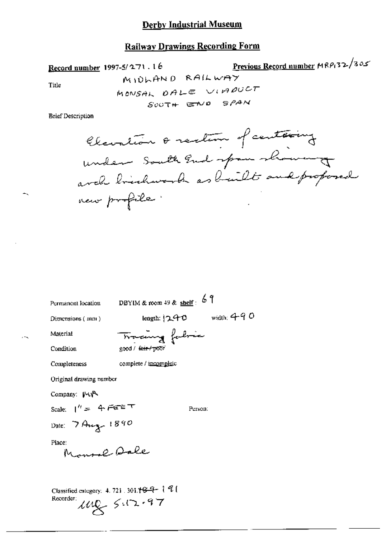# **Railway Drawings Recording Form**

Record number 1997-5/271.16

كدة Previous Record number MRP132/3

Title

**Brief Description** 

Permanent location

DBYIM & room 49 & shelf:  $69$ 

Dimensions (mm)

length:  $240$  width:  $490$ 

Material

Condition

complete / incomplete Completeness

Original drawing number

Company: MyR

Scale:  $1'' = 4$  FEET

Person:

Date: 7 Aug 1890

Place: Monsol Dale

Classified category: 4, 721, 301.<br>†<br/>  $\mathcal{G}-\mathcal{U} \mathcal{U}$  (  $142 - 512 - 97$ Recorder: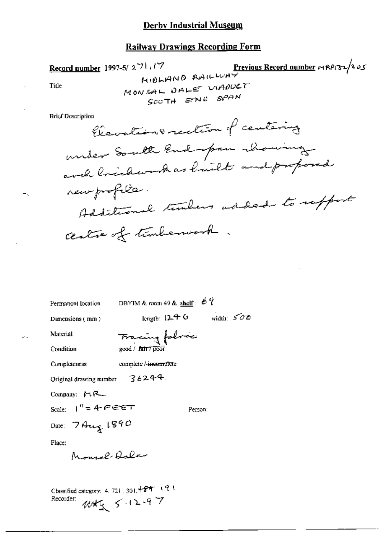ك 4 / Previous Record number 14 RP1 32 / 2 Record number 1997-5/271.17 MIOLANO AAILWAT MONSAL DALE VIADUCT Title SOUTH END SPAN **Brief Description** Claudion & rection of centering under South End-open charing avel bridewark as built and proposed new profile. Additional tembers added to reffert centre of temberson .

|                                    | Permanent location DBYIM & room 49 & shelf: $67$ |         |              |
|------------------------------------|--------------------------------------------------|---------|--------------|
| Dimensions (mm)                    | length: $12 + 6$                                 |         | width: $500$ |
| Material                           | Fracing folme                                    |         |              |
| Condition                          | $good /$ $I$ air $7$ $\overline{p}$ cor          |         |              |
| Completeness                       | complete / incomplete                            |         |              |
| Original drawing number $36244$ .  |                                                  |         |              |
| Company: MR                        |                                                  |         |              |
| Scale: $1'' = 4$ $e^x$ $e^x$ $e^x$ |                                                  | Person: |              |
| Date: $7A_u$ 1890                  |                                                  |         |              |
| Place:                             |                                                  |         |              |
| Monroe Aalen                       |                                                  |         |              |
|                                    |                                                  |         |              |
|                                    |                                                  |         |              |

Classified category: 4, 721, 301, +89 (9) WHI 5.12.97 Recorder: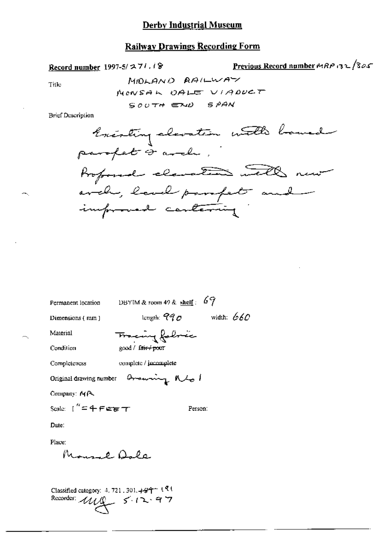#### **Railway Drawings Recording Form**

Record number 1997-5/ $271.18$ 

Previous Record number MRP 132/305

Title

MOLAND RAILWAY MONSAL OALE VIADUCT SOUTH END SPAN

**Brief Description** 



| Permanent location           | DBYIM & room 49 & shelf: $69$           |  |
|------------------------------|-----------------------------------------|--|
| Dimensions (mm)              | length: $990$ width: 660                |  |
| Material                     | Francing followic                       |  |
| Condition                    | good / fa <del>ir / po</del> or         |  |
| Completeness                 | complete / jacomplete                   |  |
|                              | Original drawing number Oromoning Mbs 1 |  |
| Company: MR                  |                                         |  |
| Scale: $1'' = 4$ Ferm $\tau$ | Person:                                 |  |
| Date:                        |                                         |  |
| Place:                       |                                         |  |
| $M_{max}$ $\theta$ $\Omega$  |                                         |  |
|                              |                                         |  |

Classified category: 4, 721, 301,  $+34$  + 1.91 Recorder: 1119 5-12-97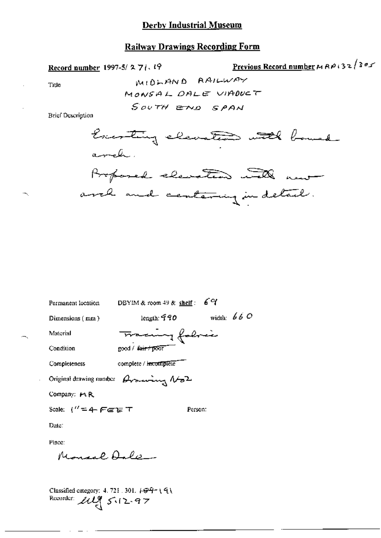Record number 1997-5/271.19

Previous Record number  $M \wedge R \wedge (32/365)$ 

Title

¬.

MIDLAND AAILWAY MONSAL DALE VIADUCT SOUTH END SPAN

**Brief Description** 



| Permanent location                         | DBYIM & room $49$ & shelf :                         |         | 69           |
|--------------------------------------------|-----------------------------------------------------|---------|--------------|
| Dimensions (mm)                            | length: $\widehat{q}\,\widehat{q}\, \mathfrak{O}$   |         | width: $660$ |
| Material                                   | Tracing folice                                      |         |              |
| Condition                                  | good / <del>fair / poor</del>                       |         |              |
| Completeness                               | complete / incomplete                               |         |              |
|                                            | Original drawing number $\beta$ rowing $\lambda$ 62 |         |              |
| Company: MR                                |                                                     |         |              |
| Scale: ("=4- F∈er T                        |                                                     | Person: |              |
| Date:                                      |                                                     |         |              |
| Place:                                     |                                                     |         |              |
| Monaal Aala                                |                                                     |         |              |
|                                            |                                                     |         |              |
| Classified category: $4.721.301.799 + 191$ |                                                     |         |              |
| Recorder:<br>20295.12.97                   |                                                     |         |              |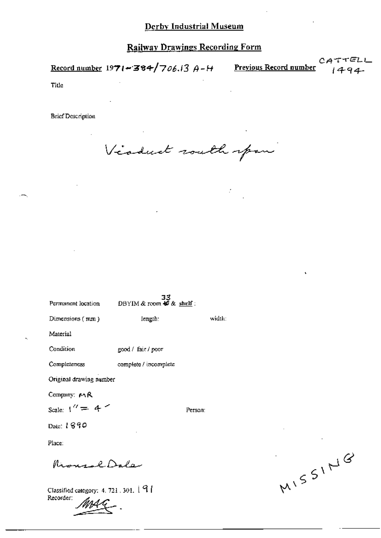Record number 1971-384/706.13  $A$ - $H$  Previous Record number

CA

Title

**Brief Description** 

Viaduct routh span

| Permanent location      | $33$ DBYIM & room $40$ & shelf: |         |
|-------------------------|---------------------------------|---------|
| Dimensions (mm)         | length:                         | widdu   |
| Material                |                                 |         |
| Condition               | good / fair / poor              |         |
| Completeness            | complete / incomplete           |         |
| Original drawing number |                                 |         |
| Company: MR             |                                 |         |
| Scale: $1'' = 4$ $''$   |                                 | Person: |
| Date: 1890              |                                 |         |
| Place:                  |                                 |         |
| outal Dala              |                                 |         |

Classified category: 4, 721, 301, 191 Recorder:

MISSING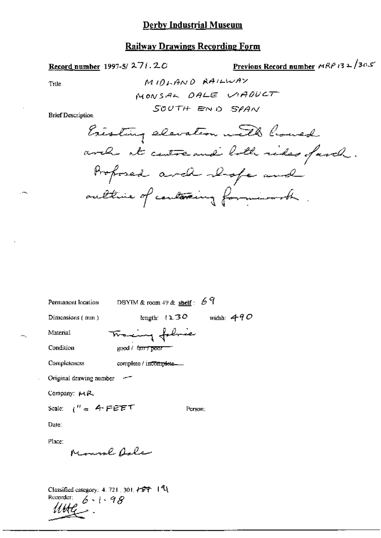# **Railway Drawings Recording Form**

Record number 1997-5/271.20

Previous Record number  $MRP$ 132/305

Title

~.

**Brief Description** 

| DBYIM & room 49 & $\frac{\text{shelf}}{\text{shelf}}$ : 69<br>Permanent location |
|----------------------------------------------------------------------------------|
| length: $1230$<br>width: $490$<br>Dimensions (mm)                                |
| Tracing followie<br>Material                                                     |
| Condition<br>good / ਕਿਸਾ <b>poor</b>                                             |
| Completeness<br>complete / incomplete.                                           |
| Original drawing number                                                          |
| Company: 14R                                                                     |
| Scale: $1'' = 4$ FEET<br>Person:                                                 |
| Date:                                                                            |
| Place:                                                                           |
| Moural Agle                                                                      |
|                                                                                  |
| Classified category: 4, 721, 301, $\angle$ 57   41                               |

 $6 - 1.98$ Recorder;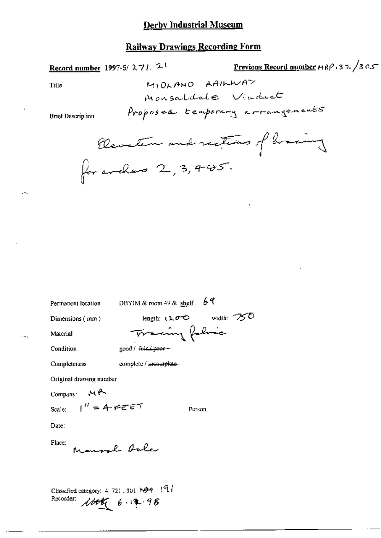## **Railway Drawings Recording Form**

Record number 1997-5/ $271.21$ 

Previous Record number  $\epsilon \kappa \beta$  3 2 /3 0 5

Title

**Brief Description** 

Permanent location

DBYIM & room 49 & shelf:  $69$ 

Dimensions (mm)

Material

Tracing folia good / fair / paer -

Condition

. . .

complete / incomplete. Completeness

Original drawing number

Company MR

Scale:

Person:

length:  $1200$  width:  $750$ 

Date:

Place: Monsal Asle

 $1'' = 4.5557$ 

Classified category: 4, 721, 301, 1999 [9] Recorder:  $160666.12.98$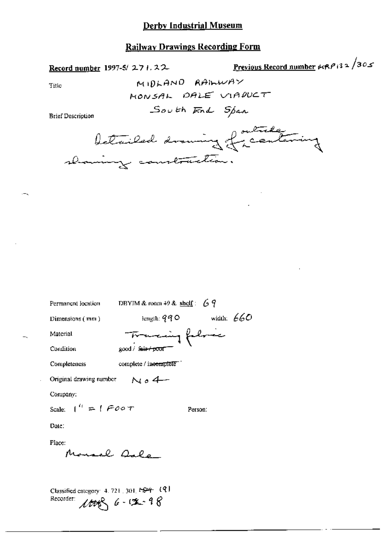Record number 1997-5/271.22

Previous Record number  $\mu$ RP 132/305

Title

MIDLAND RAILWAY MONSAL DALE VIADUCT South End Span

**Brief Description** 

betried drawing friendaning

| Permanent location      | DBYIM & room 49 & shelf: $69$ |              |
|-------------------------|-------------------------------|--------------|
| Dimensions $(mn)$       | եացնե։ 990                    | width: $660$ |
| Material                | Tracing follow                |              |
| Condition               | good / f <del>air/poor</del>  |              |
| Completeness            | complete / incomplete ]       |              |
| Original drawing number | N04-                          |              |
| Company:                |                               |              |
| Scale: $1'' = 1$ F00 T  |                               | Person:      |
| Date:                   |                               |              |
| Place:<br>Monaal Qalo   |                               |              |
|                         |                               |              |

Classified category: 4, 721, 301, 1-524 (9) Recorder:  $6 - 12 - 98$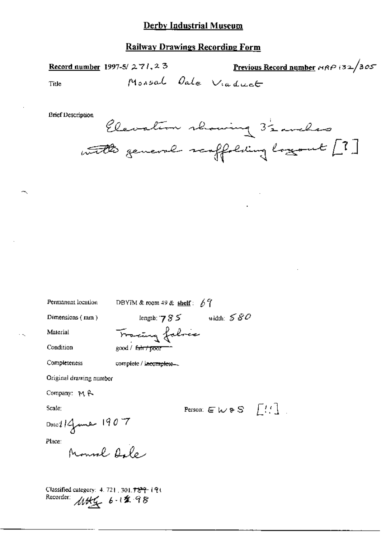#### **Railway Drawings Recording Form**

Record number 1997-5/271,23

Previous Record number MRP 132/305

Title

Monsal Oale Viaduct

**Brief Description** 

Person:  $E \ltimes S$   $\left[\begin{array}{c} I \end{array}, \begin{array}{c} I \end{array}\right]$ 

Permanent location

DBYIM & room 49 & shelf:  $67$ 

Dimensions (mm)

length:  $785$  width:  $580$ Tracing falsic

Condition

Completeness

Material

good / fair / poor

complete / incomplete...

Original drawing number

Company: MR

Scale:

$$
\text{Disc114} \longrightarrow 1907
$$

Place:

Mounel Alle

Classified category: 4, 721, 301.729 191 Recorder: 1145 6-12 98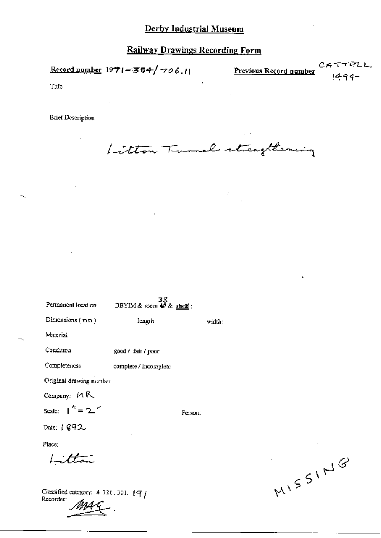Record number  $1971 - 384 / 706$ .  $11$  Previous Record number

TELL СR  $1494 -$ 

Title

Recorder:

 $2 - 1$ 

**Brief Description** 

 $\sim$  $\mathbb{R}^2$ 

Litton Turnel strengthening

 $\sim 2\%$ 

| Permanent location                       | $33$<br>DBYIM & room $49$ & shelf: |         |        |
|------------------------------------------|------------------------------------|---------|--------|
| Dimensions (mm)                          | length;                            |         | width: |
| Material                                 |                                    |         |        |
| Condition                                | good / fair / poor                 |         |        |
| Completeness                             | complete / incomplete              |         |        |
| Original drawing number                  |                                    |         |        |
| Company: MR                              |                                    |         |        |
| Seale: $\int_0^t = 2$                    |                                    | Person: |        |
| Date: $1892$                             |                                    |         |        |
| Place:                                   |                                    |         |        |
| Litton                                   |                                    |         |        |
| Classified category: $4.721.301.$ [ $7/$ |                                    |         |        |

MISSING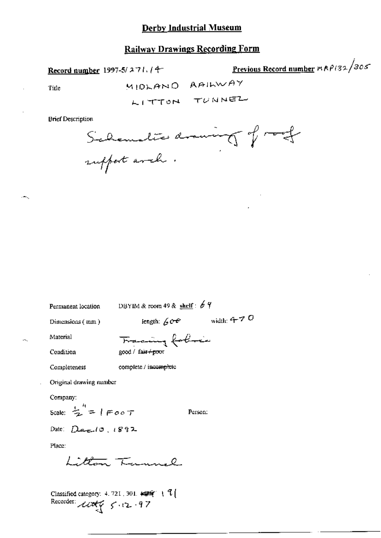# **Railway Drawings Recording Form**

Record number 1997-5/271.14

Previous Record number mRP132/305

Title

÷.

MIDLAND AAILWAY LITTON TUNNEL

**Brief Description** 

Schematics drawing of roof

Permanent location DBYIM & room 49 & shelf :  $64$ 

Dimensions (mm)

length:  $60°$  width: 4–7 O

Material

Condition Completeness

complete / incomplete

Original drawing number

Company:

Scale:  $\frac{1}{2}$  =  $\sqrt{7}$ 

Person:

Date:  $Dez10.1892$ 

Place:

than Tunnel

Classified category: 4, 721, 301,  $\leftarrow$   $\leftarrow$  (  $\frac{7}{4}$ Recorder:  $\pi r$   $\in$  12.97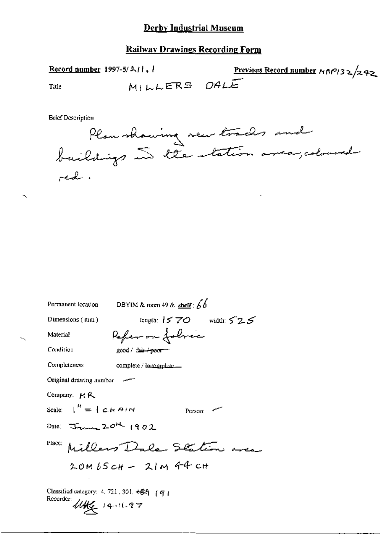# **Railway Drawings Recording Form**

Previous Record number  $MRP/32/242$ Record number 1997-5/ $\lambda$ / $\lambda$ ,  $\lambda$ MILLERS DALE Title

**Brief Description** 

 $\ddot{\phantom{0}}$ 



| DBYIM & room 49 & shelf : $66$<br>Permanent location                                                                      |
|---------------------------------------------------------------------------------------------------------------------------|
| length: $1570$ width: $525$<br>Dimensions $(mm)$                                                                          |
| Refer on foller<br>Material                                                                                               |
| Condition<br>good / fair + poor =                                                                                         |
| Completeness<br>complete / incomplete                                                                                     |
| Original drawing number                                                                                                   |
| Company: $M \mathcal{R}$                                                                                                  |
| Scale: $\begin{bmatrix} u' = 1 \ c \ H \end{bmatrix}$<br>Person: $\sim$                                                   |
| Date: $\frac{1}{2}$ and $\frac{1}{2}$ $\frac{1}{2}$ $\frac{1}{2}$ $\frac{1}{2}$ $\frac{1}{2}$ $\frac{1}{2}$ $\frac{1}{2}$ |
| Place: Millers Dale Station area                                                                                          |
| $20MbSch - 21M44$                                                                                                         |
| Classified category: 4, 721, 301, $+64$ (q)<br>Recorder:<br>$4446$ 14.11.97                                               |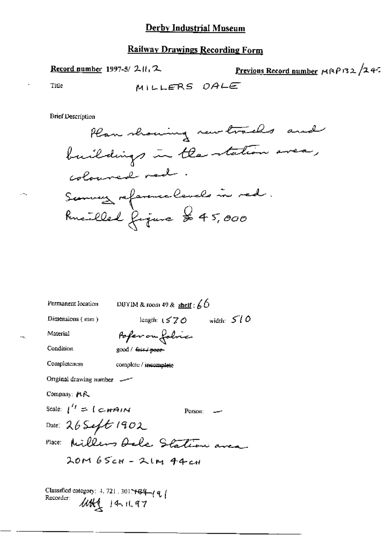# Railway Drawings Recording Form

Previous Record number  $MRP$ 132/242 Record number 1997-5/211,2 MILLERS DALE Title

**Brief Description** 

 $\epsilon$ 

 $\sim$   $\sim$ 

| Permanent Iocation                      | DBYIM & room 49 & shelf : $60$     |
|-----------------------------------------|------------------------------------|
| Dimensions $(mn)$                       | length: $(570 \text{ width: } 510$ |
| Material                                | Pofer on folvic                    |
| Condition                               | good / fair / poor-                |
| Completeness                            | complete / incomplete              |
| Original drawing number                 |                                    |
| Company: れた                             |                                    |
| Scale: $1^{'t} = 1$ C- <del>H</del> AIN | Person:                            |
| Date: $26$ Seft 1902                    |                                    |
|                                         | Place: Millers Oale Station area   |
|                                         | $20M65cH - 2IM44cH$                |
|                                         |                                    |
|                                         |                                    |

Classified category: 4, 721, 3017484 (a)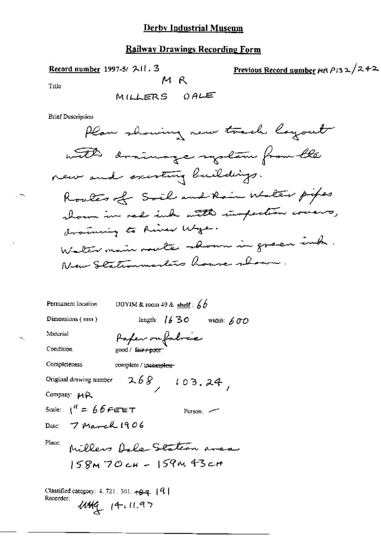# **Railway Drawings Recording Form**

| Record number 1997-5/ $\mathcal{A}$ $\{ \cdot \}$ 3<br>M R<br>Title<br>MILLERS OALE                                                                                                                                                                                                                                | <b>Previous Record number <math>m \wedge p</math>132/242</b> |
|--------------------------------------------------------------------------------------------------------------------------------------------------------------------------------------------------------------------------------------------------------------------------------------------------------------------|--------------------------------------------------------------|
| <b>Brief Description</b><br>Plan showing new toach layout<br>with drainage system from the<br>new and excerting buildings.<br>Routes of Soil and Rain Walter pipes<br>shown in red ink with inspection covers,<br>draming to River Wye.<br>Walter main route somm in green ind.<br>New Stationmarkers house shown. |                                                              |
| Permanent location<br>DBYIM & room 49 & shelf: $6b$                                                                                                                                                                                                                                                                |                                                              |
| Dimensions (mm)<br>length: $1630$<br>width: $600$                                                                                                                                                                                                                                                                  |                                                              |
| Манстіаl<br>fafer ou fabric<br>Condition<br>good / fair+poor                                                                                                                                                                                                                                                       |                                                              |
| Completeness<br>complete / incomplete                                                                                                                                                                                                                                                                              |                                                              |
| 268, 103, 24,<br>Original drawing number<br>Company: MR<br>Scale: $1^{\prime\prime} = 66$ Fere $\tau$<br>Person: 22                                                                                                                                                                                                |                                                              |
| Date: $7$ March 1906                                                                                                                                                                                                                                                                                               |                                                              |
| Place:<br>Millers Dele Station area<br>$158M$ 70 cH - $159M$ 43 cH                                                                                                                                                                                                                                                 |                                                              |
| Classified category: 4, 721, 301, $\frac{1}{4}$ $\frac{1}{4}$ $\frac{1}{4}$ $\frac{1}{4}$<br>Recorder:<br>$4449$ $14.11.97$                                                                                                                                                                                        |                                                              |

 $\sim$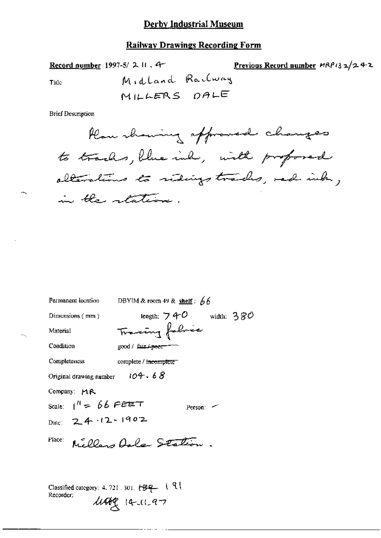#### **Railway Drawings Recording Form**

Record number 1997-5/ $\lambda$  II. 4

Previous Record number  $MR/32/242$ 

Title

**Brief Description** 

Permanent location DBYIM & room 49 & shelf:  $66$ length:  $740$  width:  $380$ Dimensions  $(mn)$ Tracing fabric Material Condition good / fair / peer-Completeness complete / incomplete Original drawing number  $104.68$ Company: MR Scale:  $1^{11}$  = 66 PEET Person:  $\sim$ Date: 24.12.1902 Millars Dala Station. Place: Classified category: 4.721.301. 1-8-9-1-1

 $\mu$ arg 14-11-97

Recorder: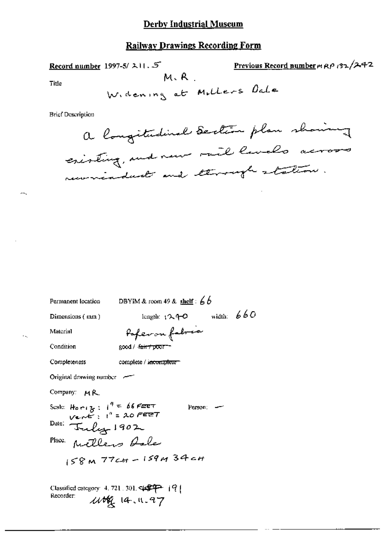#### **Railway Drawings Recording Form**

Previous Record number m RP 132/242 Record number 1997-5/ $\lambda$ 11. 5  $M, R$ Title Widening at Millers Dale **Brief Description** a longitudinal Section plan showing existing, and new rail lands across recorreaded and through station.

Permanent location

DBYIM & room 49 & shelf:  $6b$ 

Dimensions (mm)

length:  $1240$  width:  $660$ 

Material

Condition

Poper on fabric good / <del>fair / poor -</del>

Completeness

complete / incomplete

Original drawing number

Company: MR

Scale: Home  $3:1^9 = 66$  FEET<br>Vent :  $1^9 = 20$  FEET Person:  $-$ Date: Tuly 1902 Place Millers Role  $158M$  77ct - 159M 34ct

Classified category: 4, 721, 301,  $\sqrt{$^{2}P^2 + |^{2}P|}$ Recorder: 116 14.11.97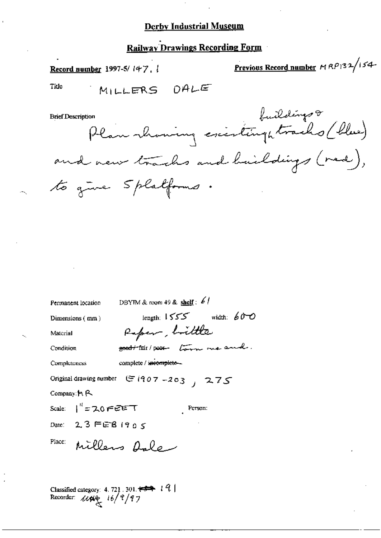# **Railway Drawings Recording Form**

Previous Record number MRP132/154-Record number 1997-5/ $147.$ Title MILLERS OALE son<br>Plan koming existinghtracks (blue) **Brief Description** and new trachs and haildings (red), to give Splatforms.

| Permanent location                        | DBYTM & room 49 & shelf: $61$                                 |
|-------------------------------------------|---------------------------------------------------------------|
| Dimensions (mm)                           | length: $1555$ width: $600$                                   |
| Material                                  | Raper, bittle                                                 |
| Condition                                 | food the poor tom me and.                                     |
| Completeness                              | complete / incomplete-                                        |
|                                           | Original drawing number $\mathfrak{S}$ (907-203) $\sqrt{275}$ |
| Company: $H$ , $R$                        |                                                               |
| Scale: $1^{11}$ = 20 FEET                 | Person:                                                       |
| Date: $2.3$ FEB 1905                      |                                                               |
| Place:                                    | Millers Asle                                                  |
|                                           |                                                               |
| Recorder: $\mu \mu_{\mathcal{E}}$ 16/9/97 |                                                               |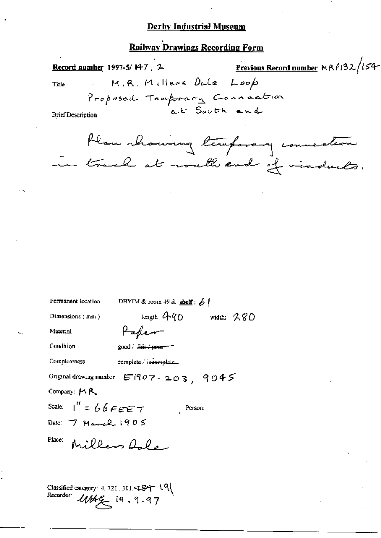# **Railway Drawings Recording Form**

Previous Record number  $MRP132/154$ Record number 1997-5/147, 2 M.R. Millers Dale Loop Title Proposed Temporary Connection at South and. **Brief Description** Plan showing temporary counseleon in track at routh and if viaduats.

| Permanent location                                                                               | DBYTM & room $49$ & shelf: $6$               |  |
|--------------------------------------------------------------------------------------------------|----------------------------------------------|--|
| Dimensions (mm)                                                                                  | length: $40$ width: $280$                    |  |
| Material                                                                                         | Kaher                                        |  |
| Condition                                                                                        | good / <del>fair / poor</del>                |  |
| Completeness                                                                                     |                                              |  |
|                                                                                                  | Original drawing number $ET107 - 203$ , 9045 |  |
| Company: MR                                                                                      |                                              |  |
| Scale: $1'' = 6666677$                                                                           | Person:                                      |  |
| Date: $7$ March $1905$                                                                           |                                              |  |
| Place:                                                                                           | Millers fale                                 |  |
|                                                                                                  |                                              |  |
|                                                                                                  |                                              |  |
| Classified category: 4.721.301.<br>Recorder: $f_{AB}f_{AB} = f_{BC}$ $\alpha \rightarrow \alpha$ |                                              |  |

 $w$ ar $\leq$  19, 9.97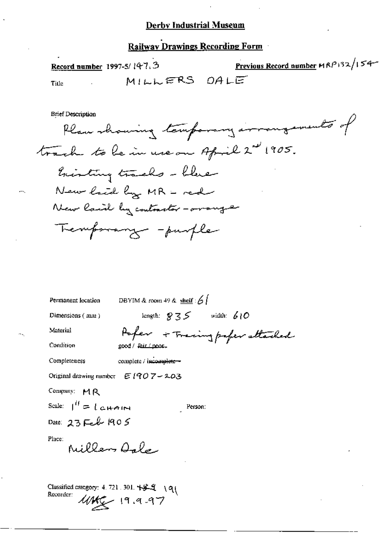# **Railway Drawings Recording Form**

Previous Record number MRP132/154-Record number 1997-5/147.3 MILLERS OALE Title

**Brief Description** 

Plan showing temporary arrangements of track to be in use on April 2nd 1905. history tracks - blue New laid by MR - red New lacid by contractor - oranger Tremporary - purple

| Permanent location                                    | DBYIM & room 49 & shelf : $6$         |
|-------------------------------------------------------|---------------------------------------|
| Dimensions (mm)                                       | length: $9.35$ width: 610             |
| Material                                              | Poper + Traing paper attached         |
| Condition                                             | good / Fair / poor.                   |
| Completeness                                          | complete / incomplete -               |
|                                                       | Original drawing number $E(907 - 203$ |
| Company: MR                                           |                                       |
| Scale: $\int_{0}^{H}$ = [cHAIN                        | Person:                               |
| Date: $23$ Feb 1905                                   |                                       |
| Place:<br>Miller Arley                                |                                       |
| Classified category: 4.721.301. +5-9 \q\<br>Recorder: | $1042 - 19.9.97$                      |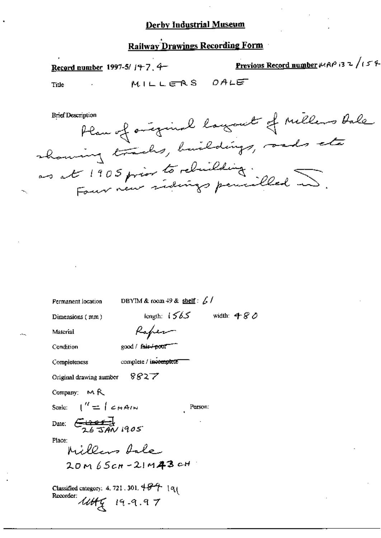# **Railway Drawings Recording Form**

| Record number 1997-5/ $j+7$ , $4-$ |  |                                   | <b>Previous Record number</b> $MAP$ is z / i 5 % |  |
|------------------------------------|--|-----------------------------------|--------------------------------------------------|--|
| Title                              |  |                                   | MILLERS DALE                                     |  |
| Brief Description                  |  | and the state of the state of the | et of millens tale.                              |  |

| Plan of original layour of the court |
|--------------------------------------|
| showing tracks, buildings, ands etc  |
| no at 1905 prior to relaiding.       |
|                                      |

| length: $1565$ width: 480 |
|---------------------------|
|                           |
|                           |
|                           |
|                           |
|                           |
|                           |
|                           |
|                           |
|                           |
|                           |
|                           |
|                           |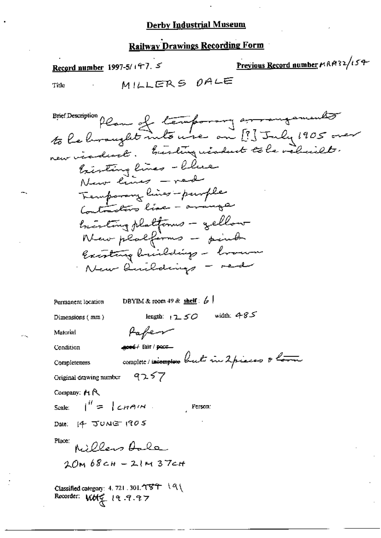# **Railway Drawings Recording Form**

Previous Record number HAM32/154 Record number 1997-5/197. 5 MILLERS OALE Title Brier Description plan of temporary arrangements bisting lines - blue New lines - ned Temporary lines - purple beauting platforms - gellow New platforms - points Existing briedings - brown New limitatings - red DBYIM & room 49 & shelf:  $\frac{1}{2}$ Permanent location length:  $1250$  width: 485 Dimensions (mm) Pafer Material good/ fair / poor Condition complete / incomplexe but in 2 pieces & love **Completeness** 9257 Original drawing number Company:  $M R$ Scale:  $\vert^{ii} = \vert$  chain. Person: Date: 14 JUNE 1905 Place: Millers Aale 20M 68CH - 21M 37CH Classified category: 4, 721 . 301. イマチ | 9

Recorder: Work 19.9.97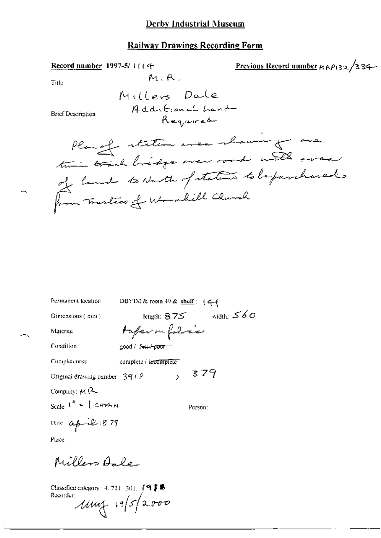Record number 1997-5/11 (4-

Previous Record number  $\kappa \kappa \rho_{132}/334$ 

Title

M.R.

**Brief Description** 

Planget station avec showing me time track bridge over rood with wear of land to North of states to be parchared from Trustics of Wormlill Church

| Permanent location             | DBYIM & room $49$ & shelf : $44$ |              |
|--------------------------------|----------------------------------|--------------|
| Dimensions (mm)                | length: $875$                    | width: $560$ |
| Material                       | taperou folice                   |              |
| Condition                      | good / f <del>uit-/ poor</del>   |              |
| Completeness                   | complete / incomplete            |              |
| Original drawing number $391P$ | 379<br>$\mathbf{r}$              |              |
| Company: $M$ $\leftarrow$      |                                  |              |
| Scale: $I'' = [C + A \cdot A]$ | Person:                          |              |
| line <sub>4</sub> 2.879        |                                  |              |

ľ

Place:

Millers Aale

Classified category: 4, 721, 301,  $\int$  **q**  $\uparrow$  **e** Recorder:  $1114 - 1952000$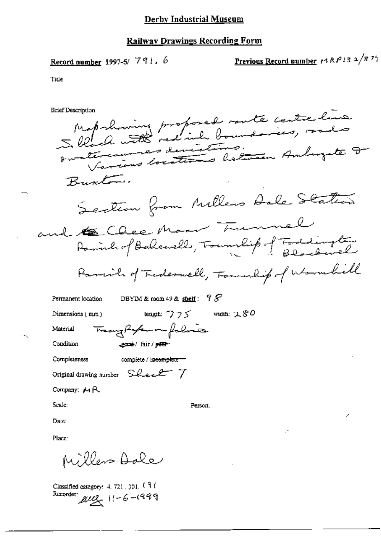# **Railway Drawings Recording Form**

Record number 1997-5/ 
$$
791.6
$$

Previous Record number 
$$
\mu R \rho l 3 \frac{2}{8} \frac{75}{1}
$$

Title

 $\overline{\phantom{a}}$ 

 $\sim$ 

| <b>Brief Description</b> |                                                                    |  |
|--------------------------|--------------------------------------------------------------------|--|
|                          | Maprhowing proposed route centre line                              |  |
|                          |                                                                    |  |
|                          | qualificaumes deviations.<br>Various locations between Amburgate 2 |  |
|                          | Buscton.                                                           |  |
|                          | Section from Millers Aale Station                                  |  |
|                          |                                                                    |  |
|                          | and the Chee Moore Trummel                                         |  |
|                          | Parcial of Tedeswell, Township of Wormbill                         |  |
|                          | 98<br>Permanent location<br>DBYIM & room $49 &$ shelf:             |  |
|                          | width: $280$<br>length: $775$<br>$Dimensions$ ( $mm$ )             |  |
| Material                 | Trangforter on folice                                              |  |
| Condition                | econt/fair/poor-                                                   |  |
|                          | Completeness<br>complete / in <del>complete =</del>                |  |
|                          | Original drawing number Sheet 7                                    |  |
|                          | Company: $M R$                                                     |  |
| Scale:                   | Person:                                                            |  |
| Date:                    |                                                                    |  |
| Place:                   |                                                                    |  |
|                          |                                                                    |  |

Millers Dale

Classified category: 4.721, 301, 191<br>Recorder:  $\mu \mu$ <br> $\leftarrow$  11-6-1999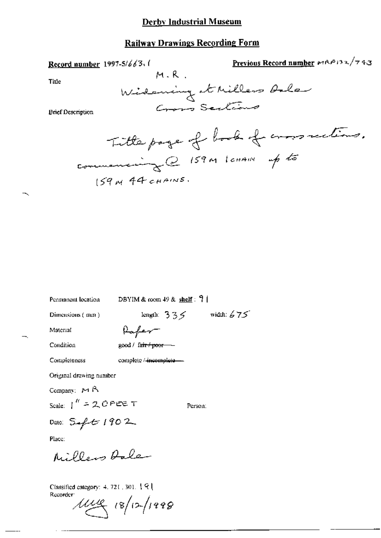#### **Railway Drawings Recording Form**

Previous Record number MAP132/743 Record number 1997-5/663.  $M, R$ Title Widening thilless Ale Cross Scations **Brief Description** Title page of book of cross rections. commencing@ 159M lanAN up to  $159$  N 44 CHAINS. DBYIM & room  $49$  & shelf:  $9$  | Permanent location length:  $335$  width:  $675$ Dimensions (mm) Paper Material Condition good / fa<del>ir / poor -</del> Completeness complete /-incomplete-Original drawing number Company: MR Scale:  $1''$  = 20 PEE T Person: Date:  $5 - 1902$ Place: Millers Rale

Classified category: 4, 721, 301, 191 Recorder:

 $1448$   $(8/12/1998)$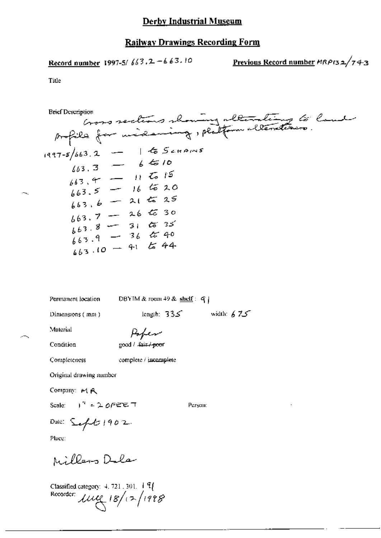$$
Record number 1997-5/663.2 - 663.10
$$

Previous Record number 
$$
MRPI32/743
$$

Title

Goos sections showing alterating to land **Brief Description**  $1997 - 5/663.2 - 165249m5$ <br> $663.3 - 6610$  $663.4$  - 11  $\frac{1}{66}$  15  $-16520$  $663.5$  $663.6 - 2125$  $663.7 - 265$  $663.8 - 31.6635$  $663.9 - 36$  & 40  $663.10 - 41$  to 44

Permanent location

DBYIM & room 49 & shelf:  $q$ 

Dimensions (mm)

length:  $335$  width:  $675$ 

Material

Condition

Poper good / fair/-poor

Completeness

complete / jucamplete

Original drawing number

Company: MR

Scale:  $1^4$  = 20FEET

Person:

Date:  $\mathcal{L}_{\text{eff}}$  (2) 1902.

Place:

Millers Dola

Classified category:  $4.721.301.$   $\overline{17}$ Recorder:  $\mu$ ue 18/12/1998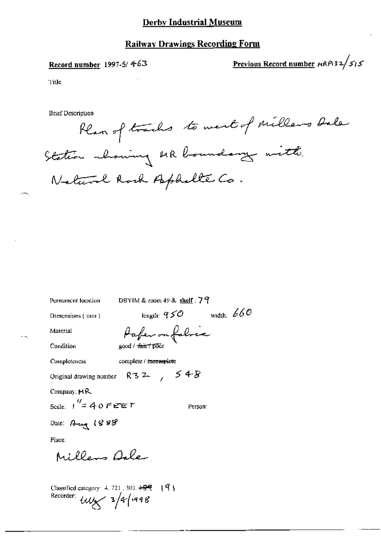# **Railway Drawings Recording Form**

## Record number 1997-5/463

Previous Record number  $\mu$ RP132/515

Title

**Brief Description** 

Plan of tracks to west of millers bale Station whowing MR boundary with. Natural Rock Aphalte Co.

Permanent location

DBYIM & room 49 & shelf: 79

Paper on folice

Dimensions (mm)

length:  $950$  width:  $660$ 

Material

 $\sim$ 

good / fair / poor Condition

complete / meemplete Completeness

Original drawing number  $R32$ ,  $548$ 

Company: MR

Scale:  $1''=40$  FeET

Person:

Date: Aug 1888

Place:

Millers Dale

Classified category 4, 721, 301, 409  $\frac{191}{2}$ Recorder:  $\mu\mu$  3/4/1998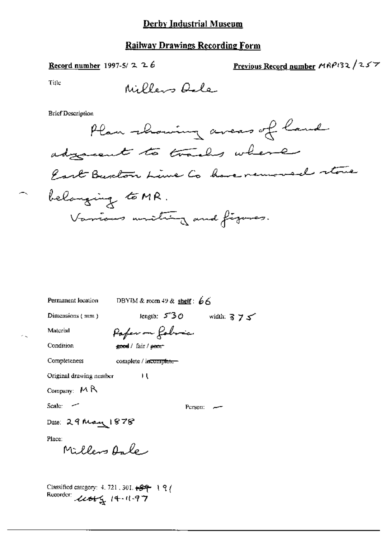#### Record number 1997-5/2  $26$

Previous Record number MRP132/257

Title

e k

Millers Oale

**Brief Description** 



| Permanent location      | DBYIM & room $49$ & shelf $66$        |
|-------------------------|---------------------------------------|
| Dimensions (mm)         | length: $5.30$<br>width: $3 \times 5$ |
| Material                | Pafer on Robric                       |
| Condition               | good / fair / pecn <sup>-</sup>       |
| Completeness            | complete / incomplete-                |
| Original drawing nember | ц                                     |
| Company: $M R$          |                                       |
| Scale: --               | Person:                               |
| Date: 29 May 1878       |                                       |
| Place:<br>Millers Anley |                                       |
|                         |                                       |

Classified category: 4, 721, 301,  $\leftarrow$   $\leftarrow$  1 9 ( Recorder user 14-11-97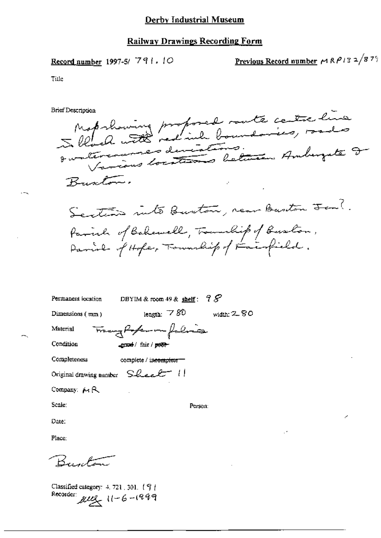Record number 1997-5/791.10

<u>Previous Record number</u>  $\mu$  R  $\rho$  13 2/8 75

Title

**Brief Description** 

Maprhoning proposed rante centre line Quatercourses deviations.<br>Quatercourses devitiens letters Amburgute I Buston. Section into Burton, rear Buston Fen?. family of Bahawell, Transchip of Buston, Parish of Hope, Township of Fairfield.

|                                  | Permanent location DBYIM & room 49 & shelf: $98^{\circ}$ |             |
|----------------------------------|----------------------------------------------------------|-------------|
| Dimensions (mm)                  | length: $780$                                            | width: 2.80 |
| Material                         | Trangfortunaleria                                        |             |
| Condition                        | ence / fair / <del>poor</del>                            |             |
| Completeness                     | complete / incomplete ==                                 |             |
| Original drawing number Sheet !! |                                                          |             |
| Company: $M \mathsf{R}$          |                                                          |             |
| Scale:                           | Person:                                                  |             |
| Date:                            |                                                          |             |
|                                  |                                                          |             |

Place:

Burton

Classified category: 4, 721, 301, [9] Recorder:  $\mu u_2$   $11 - 6 - 1999$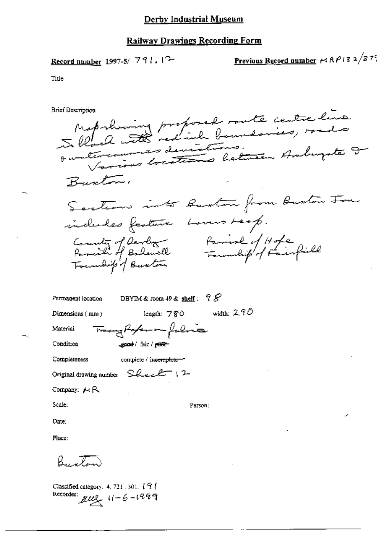# Railway Drawings Recording Form

Record number 1997-5/ 791. 
$$
12
$$

Previous Record number 
$$
\sim
$$
 R $\rho$  13 2/87°.

Title

 $\sim$ 

 $\overline{\phantom{m}}$ 

| Brief Description                                                                                               |
|-----------------------------------------------------------------------------------------------------------------|
| Map showing proposed south centre line<br>Instermances deviations.<br>Various locations between Amburgate I     |
| Burton.                                                                                                         |
| Section into Buston from Buston Ton                                                                             |
| indules feature Lovers Leop.<br>County of Devloy Ramisle of Hope<br>Paraille Foundation Fournalist of Fainfield |
| 98<br>DBYIM & room $49$ & shelf:<br>Permanent location                                                          |
| width: $290$<br>length: $780$<br>Dimensions $(mn)$                                                              |
| Tranghoperan faline<br>Material                                                                                 |
| good / fair / puer-<br>Condition                                                                                |
| Completeness<br>complete / in <del>complete =</del> =                                                           |
| Original drawing number $SLexL^{-1}$ 12                                                                         |
| Company: $\mu$ R                                                                                                |
| Scale:<br>Person:                                                                                               |
| Date:                                                                                                           |
| Place:                                                                                                          |
| Buston                                                                                                          |
|                                                                                                                 |

Classified category: 4, 721, 301, 191 Recorder:  $\mu u_2$   $11 - 6 - 1999$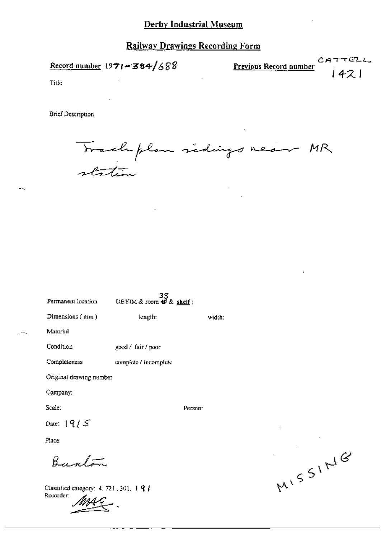Record number  $1971 - 384/688$ 

CATTELL Previous Record number 1421

Title

**Brief Description** 

Trachplan sidings near MR station

| Permanent location      | DBYIM & room $\overrightarrow{AB}$ & shelf: |         |        |
|-------------------------|---------------------------------------------|---------|--------|
| Dimensions $(mn)$       | length:                                     |         | width: |
| Material                |                                             |         |        |
| Condition               | good / fair / poor                          |         |        |
| Completeness            | complete / incomplete                       |         |        |
| Original drawing number |                                             |         |        |
| Company:                |                                             |         |        |
| Scale:                  |                                             | Person: |        |
| Date: $19/5$            |                                             |         |        |
| Place:                  |                                             |         |        |
|                         |                                             |         |        |

त्रद

Classified category: 4, 721, 301, 194 Recorder:

MISSING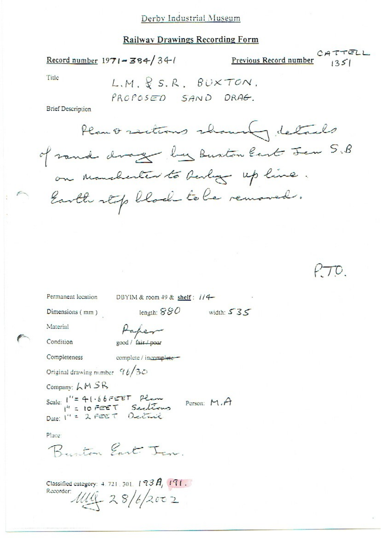#### Railway Drawings Recording Form

Record number  $1971 - 384/34$ 

Previous Record number  $C A T T E L L$ 

Title

 $LM, R$  S.R. BUXTON. PROPOSED SAND DRAG.

**Brief Description** 

Plant sections showing details of rand drage by Buston East Jen S.B on Manchester to besley up line. Earth stop block to be removed.

 $\tau$ 

Permanent location DBYIM & room 49 & shelf: 1/4-

length:  $880$  width:  $535$ 

Dimensions (mm)

Material

Condition

Paper good / fair / poor

Completeness

complete / incomplete-

Original drawing number  $96/30$ 

Company:  $LM SR$ 

Scale: 1"= 41.66FEET Plane<br>1" = 10 FEET Sections<br>Date: 1" = 2 FEET Dectail Person:  $M.A$ 

Place

Buston East In

Classified category:  $4.721, 301, 193 \hat{A}$ ,  $191.$ Recorder: 1114 28/6/2002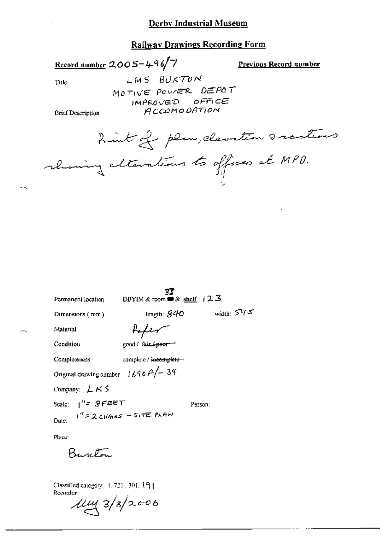### **Railway Drawings Recording Form**

Record number  $2005 - 496$ /7

Previous Record number

Title

LMS BUXTON MOTIVE POWER DEPOT IMPROVED OFFICE **ACCOMODATION** 

**Brief Description** 

hint of plan, clavation scentions rhowing alterations to offices at MPD.

| Permanent location                   | DBYIM & room $\blacksquare$ & shelf :   2.3 |              |
|--------------------------------------|---------------------------------------------|--------------|
| Dimensions (mm)                      | length: $S40$                               | width: $595$ |
| Material                             | toper-                                      |              |
| Condition                            | good / fair.4-peor-                         |              |
| Completeness                         | complete / incomplete -                     |              |
| Original drawing number $1690A - 39$ |                                             |              |
| Company: $LMS$                       |                                             |              |
| Scale: $1^{1/z}$ gFEET               |                                             | Person:      |
| Date: $1'' = 2cHAnsS - S_1TE$ PLAN   |                                             |              |

Place:

 $\overline{\phantom{0}}$ 

Burton

Classified category: 4, 721, 301, 19] Recorder:

 $\frac{1}{4} \frac{3}{3}$  2/3/2006